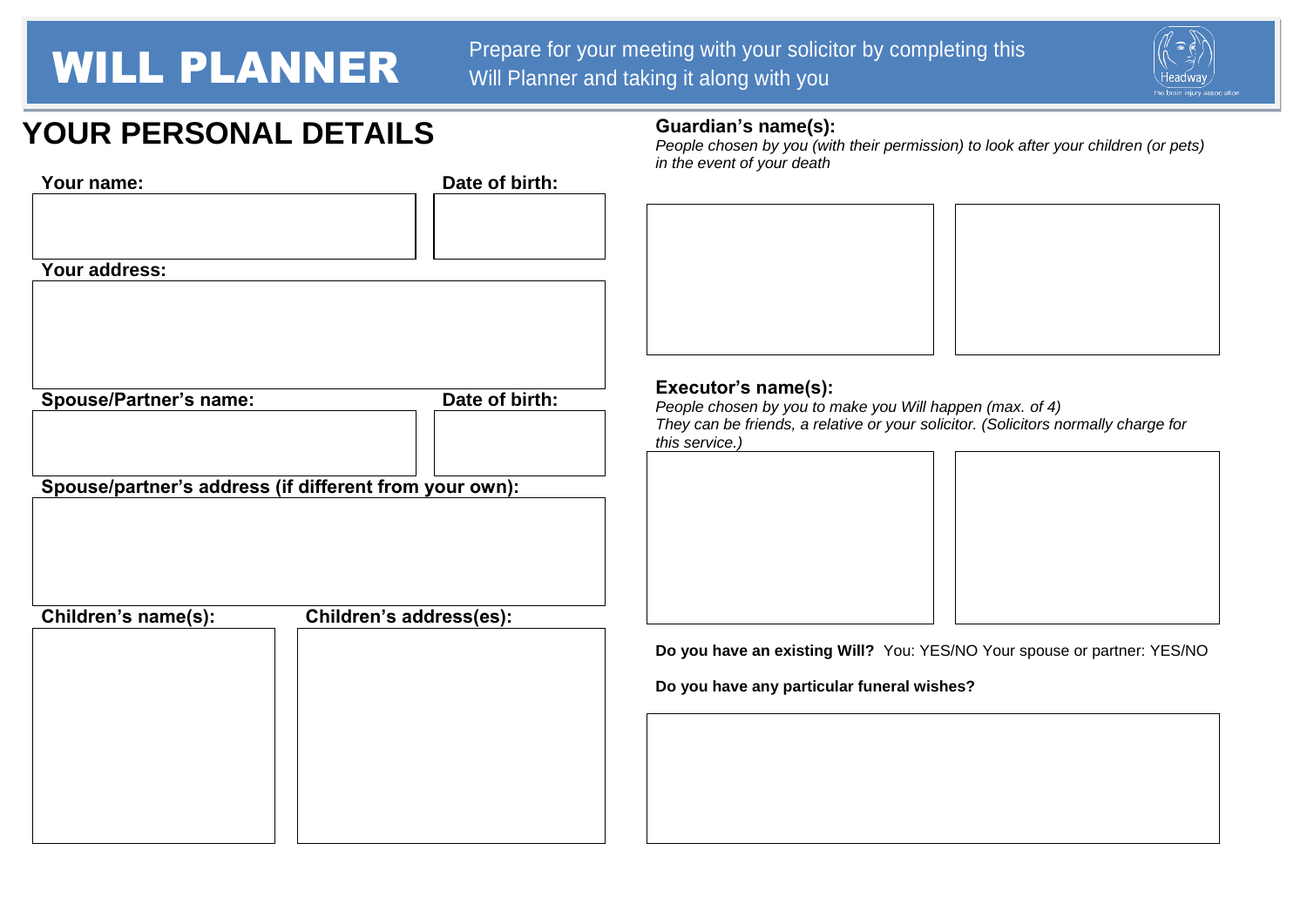

# **YOUR PERSONAL DETAILS**

### **Guardian's name(s):**

*People chosen by you (with their permission) to look after your children (or pets) in the event of your death*

| Your name:                                             |                         | Date of birth: | ın tr                           |
|--------------------------------------------------------|-------------------------|----------------|---------------------------------|
| Your address:                                          |                         |                |                                 |
| <b>Spouse/Partner's name:</b>                          |                         | Date of birth: | <b>Ex</b><br>Pec<br>The<br>this |
| Spouse/partner's address (if different from your own): |                         |                |                                 |
| Children's name(s):                                    | Children's address(es): |                |                                 |
|                                                        |                         |                | Do<br>Do                        |
|                                                        |                         |                |                                 |

# **Executor's name(s):**

*People chosen by you to make you Will happen (max. of 4) They can be friends, a relative or your solicitor. (Solicitors normally charge for this service.)*



you have an existing Will? You: YES/NO Your spouse or partner: YES/NO

you have any particular funeral wishes?